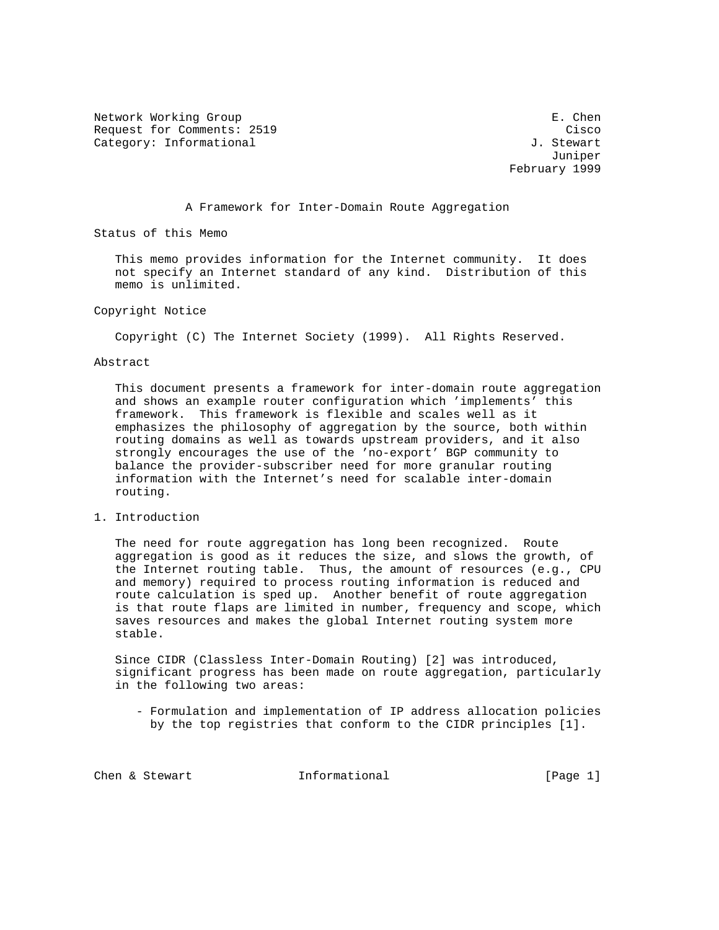Network Working Group extends the set of the set of the set of the set of the set of the set of the set of the set of the set of the set of the set of the set of the set of the set of the set of the set of the set of the s Request for Comments: 2519 Cisco Category: Informational and  $J.$  Stewart

 Juniper February 1999

A Framework for Inter-Domain Route Aggregation

Status of this Memo

 This memo provides information for the Internet community. It does not specify an Internet standard of any kind. Distribution of this memo is unlimited.

Copyright Notice

Copyright (C) The Internet Society (1999). All Rights Reserved.

## Abstract

 This document presents a framework for inter-domain route aggregation and shows an example router configuration which 'implements' this framework. This framework is flexible and scales well as it emphasizes the philosophy of aggregation by the source, both within routing domains as well as towards upstream providers, and it also strongly encourages the use of the 'no-export' BGP community to balance the provider-subscriber need for more granular routing information with the Internet's need for scalable inter-domain routing.

1. Introduction

 The need for route aggregation has long been recognized. Route aggregation is good as it reduces the size, and slows the growth, of the Internet routing table. Thus, the amount of resources (e.g., CPU and memory) required to process routing information is reduced and route calculation is sped up. Another benefit of route aggregation is that route flaps are limited in number, frequency and scope, which saves resources and makes the global Internet routing system more stable.

 Since CIDR (Classless Inter-Domain Routing) [2] was introduced, significant progress has been made on route aggregation, particularly in the following two areas:

 - Formulation and implementation of IP address allocation policies by the top registries that conform to the CIDR principles [1].

Chen & Stewart Theorem Informational (Page 1)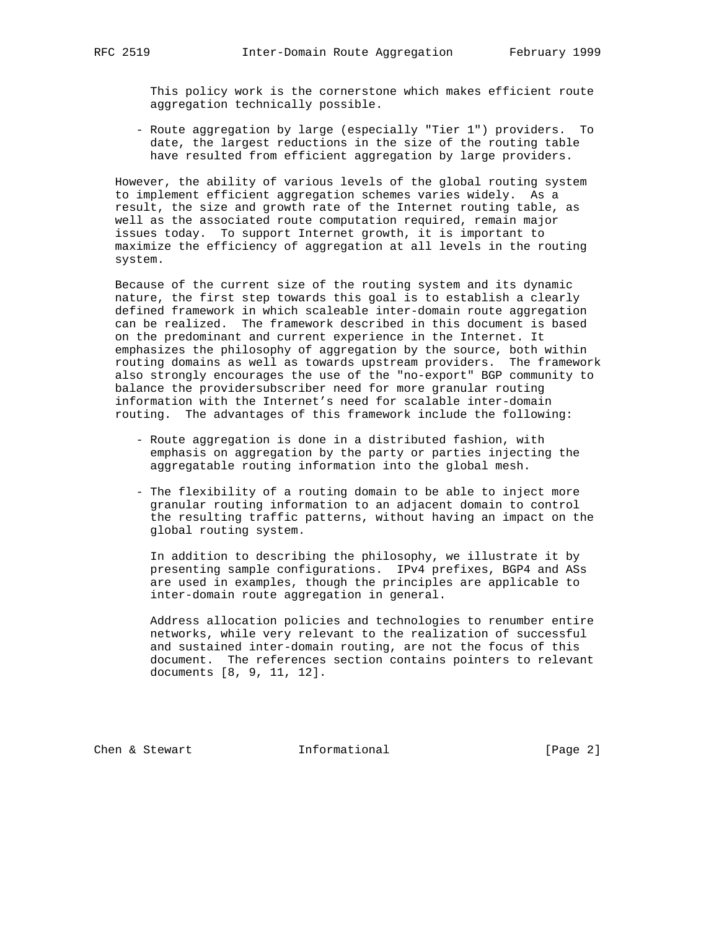This policy work is the cornerstone which makes efficient route aggregation technically possible.

 - Route aggregation by large (especially "Tier 1") providers. To date, the largest reductions in the size of the routing table have resulted from efficient aggregation by large providers.

 However, the ability of various levels of the global routing system to implement efficient aggregation schemes varies widely. As a result, the size and growth rate of the Internet routing table, as well as the associated route computation required, remain major issues today. To support Internet growth, it is important to maximize the efficiency of aggregation at all levels in the routing system.

 Because of the current size of the routing system and its dynamic nature, the first step towards this goal is to establish a clearly defined framework in which scaleable inter-domain route aggregation can be realized. The framework described in this document is based on the predominant and current experience in the Internet. It emphasizes the philosophy of aggregation by the source, both within routing domains as well as towards upstream providers. The framework also strongly encourages the use of the "no-export" BGP community to balance the providersubscriber need for more granular routing information with the Internet's need for scalable inter-domain routing. The advantages of this framework include the following:

- Route aggregation is done in a distributed fashion, with emphasis on aggregation by the party or parties injecting the aggregatable routing information into the global mesh.
- The flexibility of a routing domain to be able to inject more granular routing information to an adjacent domain to control the resulting traffic patterns, without having an impact on the global routing system.

 In addition to describing the philosophy, we illustrate it by presenting sample configurations. IPv4 prefixes, BGP4 and ASs are used in examples, though the principles are applicable to inter-domain route aggregation in general.

 Address allocation policies and technologies to renumber entire networks, while very relevant to the realization of successful and sustained inter-domain routing, are not the focus of this document. The references section contains pointers to relevant documents [8, 9, 11, 12].

Chen & Stewart **Informational** [Page 2]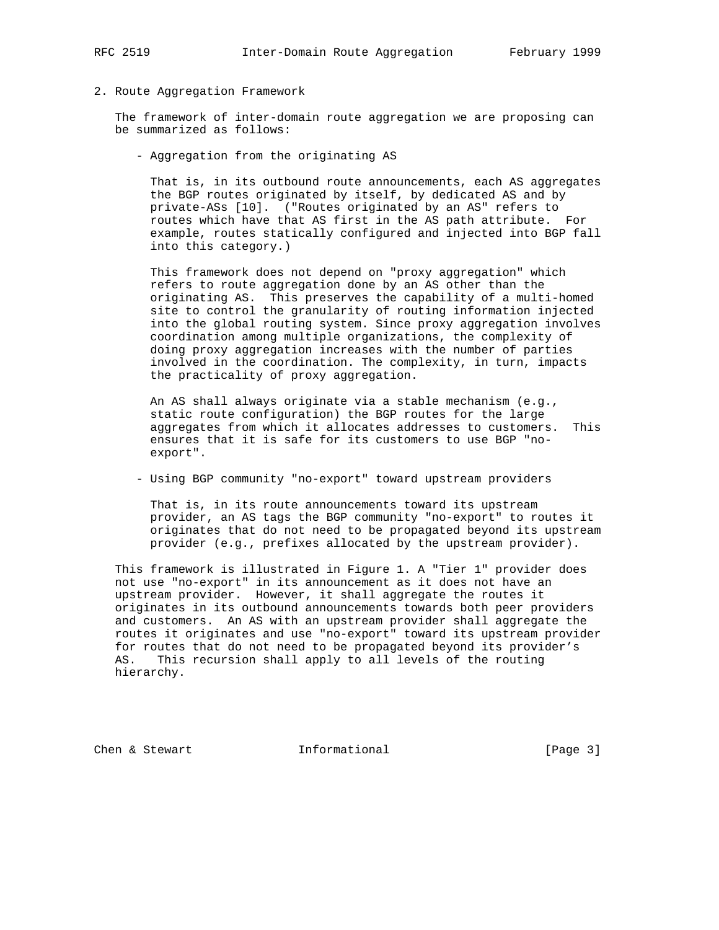## 2. Route Aggregation Framework

 The framework of inter-domain route aggregation we are proposing can be summarized as follows:

- Aggregation from the originating AS

 That is, in its outbound route announcements, each AS aggregates the BGP routes originated by itself, by dedicated AS and by private-ASs [10]. ("Routes originated by an AS" refers to routes which have that AS first in the AS path attribute. For example, routes statically configured and injected into BGP fall into this category.)

 This framework does not depend on "proxy aggregation" which refers to route aggregation done by an AS other than the originating AS. This preserves the capability of a multi-homed site to control the granularity of routing information injected into the global routing system. Since proxy aggregation involves coordination among multiple organizations, the complexity of doing proxy aggregation increases with the number of parties involved in the coordination. The complexity, in turn, impacts the practicality of proxy aggregation.

 An AS shall always originate via a stable mechanism (e.g., static route configuration) the BGP routes for the large aggregates from which it allocates addresses to customers. This ensures that it is safe for its customers to use BGP "no export".

- Using BGP community "no-export" toward upstream providers

 That is, in its route announcements toward its upstream provider, an AS tags the BGP community "no-export" to routes it originates that do not need to be propagated beyond its upstream provider (e.g., prefixes allocated by the upstream provider).

 This framework is illustrated in Figure 1. A "Tier 1" provider does not use "no-export" in its announcement as it does not have an upstream provider. However, it shall aggregate the routes it originates in its outbound announcements towards both peer providers and customers. An AS with an upstream provider shall aggregate the routes it originates and use "no-export" toward its upstream provider for routes that do not need to be propagated beyond its provider's AS. This recursion shall apply to all levels of the routing hierarchy.

Chen & Stewart **Informational** [Page 3]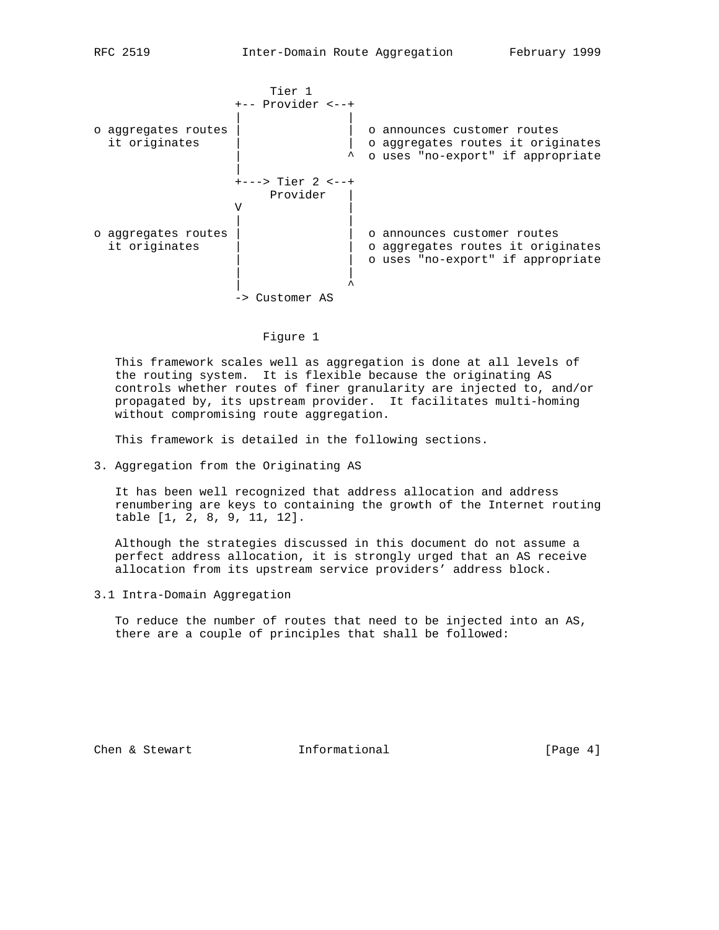|                                      | Tier 1               |                                                                                                       |
|--------------------------------------|----------------------|-------------------------------------------------------------------------------------------------------|
|                                      | $+--$ Provider $<-+$ |                                                                                                       |
| o aggregates routes<br>it originates |                      | o announces customer routes<br>o aggregates routes it originates<br>o uses "no-export" if appropriate |
|                                      | +---> Tier 2 <--+    |                                                                                                       |
|                                      | Provider             |                                                                                                       |
|                                      | ٦Z                   |                                                                                                       |
| o aggregates routes<br>it originates |                      | o announces customer routes<br>o aggregates routes it originates<br>o uses "no-export" if appropriate |
|                                      | -> Customer AS       |                                                                                                       |

## Figure 1

 This framework scales well as aggregation is done at all levels of the routing system. It is flexible because the originating AS controls whether routes of finer granularity are injected to, and/or propagated by, its upstream provider. It facilitates multi-homing without compromising route aggregation.

This framework is detailed in the following sections.

3. Aggregation from the Originating AS

 It has been well recognized that address allocation and address renumbering are keys to containing the growth of the Internet routing table [1, 2, 8, 9, 11, 12].

 Although the strategies discussed in this document do not assume a perfect address allocation, it is strongly urged that an AS receive allocation from its upstream service providers' address block.

3.1 Intra-Domain Aggregation

 To reduce the number of routes that need to be injected into an AS, there are a couple of principles that shall be followed:

Chen & Stewart **Informational** [Page 4]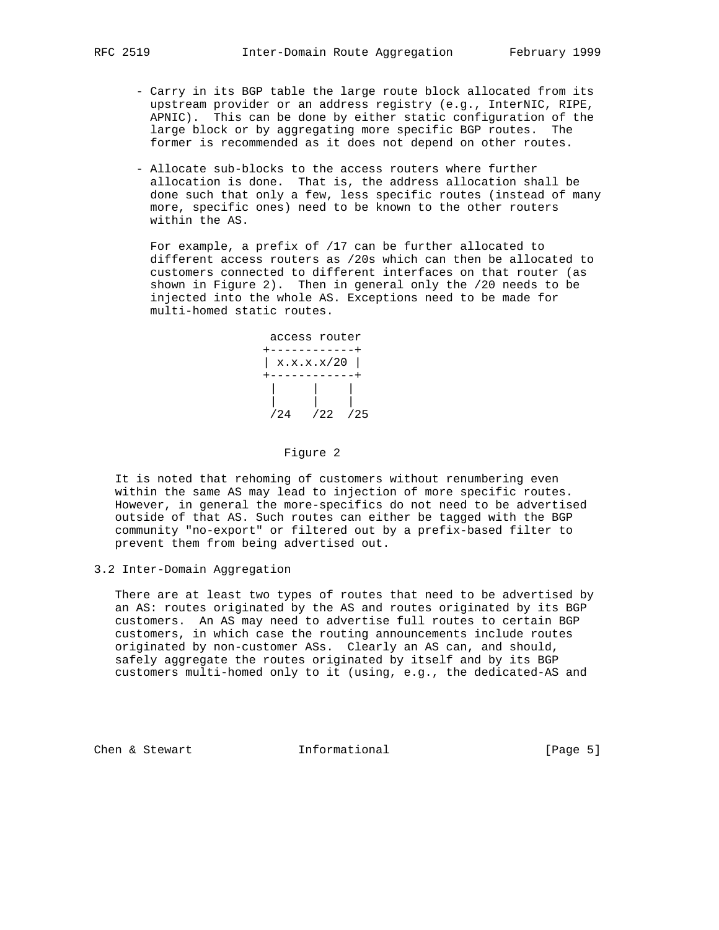- Carry in its BGP table the large route block allocated from its upstream provider or an address registry (e.g., InterNIC, RIPE, APNIC). This can be done by either static configuration of the large block or by aggregating more specific BGP routes. The former is recommended as it does not depend on other routes.
- Allocate sub-blocks to the access routers where further allocation is done. That is, the address allocation shall be done such that only a few, less specific routes (instead of many more, specific ones) need to be known to the other routers within the AS.

 For example, a prefix of /17 can be further allocated to different access routers as /20s which can then be allocated to customers connected to different interfaces on that router (as shown in Figure 2). Then in general only the /20 needs to be injected into the whole AS. Exceptions need to be made for multi-homed static routes.



#### Figure 2

 It is noted that rehoming of customers without renumbering even within the same AS may lead to injection of more specific routes. However, in general the more-specifics do not need to be advertised outside of that AS. Such routes can either be tagged with the BGP community "no-export" or filtered out by a prefix-based filter to prevent them from being advertised out.

3.2 Inter-Domain Aggregation

 There are at least two types of routes that need to be advertised by an AS: routes originated by the AS and routes originated by its BGP customers. An AS may need to advertise full routes to certain BGP customers, in which case the routing announcements include routes originated by non-customer ASs. Clearly an AS can, and should, safely aggregate the routes originated by itself and by its BGP customers multi-homed only to it (using, e.g., the dedicated-AS and

Chen & Stewart **Informational** (Page 5)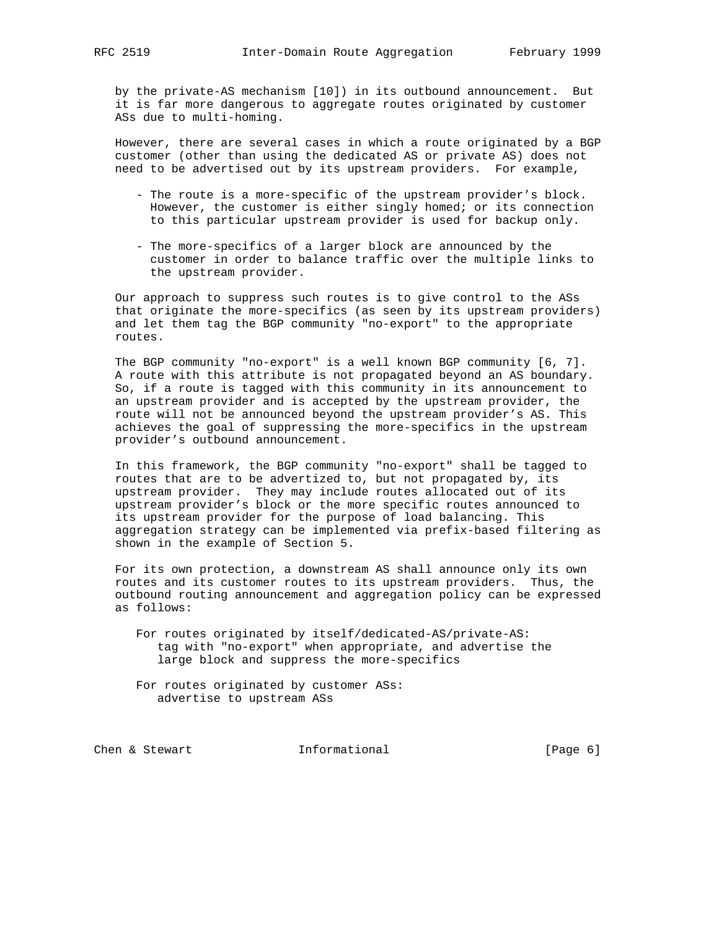by the private-AS mechanism [10]) in its outbound announcement. But it is far more dangerous to aggregate routes originated by customer ASs due to multi-homing.

 However, there are several cases in which a route originated by a BGP customer (other than using the dedicated AS or private AS) does not need to be advertised out by its upstream providers. For example,

- The route is a more-specific of the upstream provider's block. However, the customer is either singly homed; or its connection to this particular upstream provider is used for backup only.
- The more-specifics of a larger block are announced by the customer in order to balance traffic over the multiple links to the upstream provider.

 Our approach to suppress such routes is to give control to the ASs that originate the more-specifics (as seen by its upstream providers) and let them tag the BGP community "no-export" to the appropriate routes.

 The BGP community "no-export" is a well known BGP community [6, 7]. A route with this attribute is not propagated beyond an AS boundary. So, if a route is tagged with this community in its announcement to an upstream provider and is accepted by the upstream provider, the route will not be announced beyond the upstream provider's AS. This achieves the goal of suppressing the more-specifics in the upstream provider's outbound announcement.

 In this framework, the BGP community "no-export" shall be tagged to routes that are to be advertized to, but not propagated by, its upstream provider. They may include routes allocated out of its upstream provider's block or the more specific routes announced to its upstream provider for the purpose of load balancing. This aggregation strategy can be implemented via prefix-based filtering as shown in the example of Section 5.

 For its own protection, a downstream AS shall announce only its own routes and its customer routes to its upstream providers. Thus, the outbound routing announcement and aggregation policy can be expressed as follows:

- For routes originated by itself/dedicated-AS/private-AS: tag with "no-export" when appropriate, and advertise the large block and suppress the more-specifics
- For routes originated by customer ASs: advertise to upstream ASs

Chen & Stewart **Informational** [Page 6]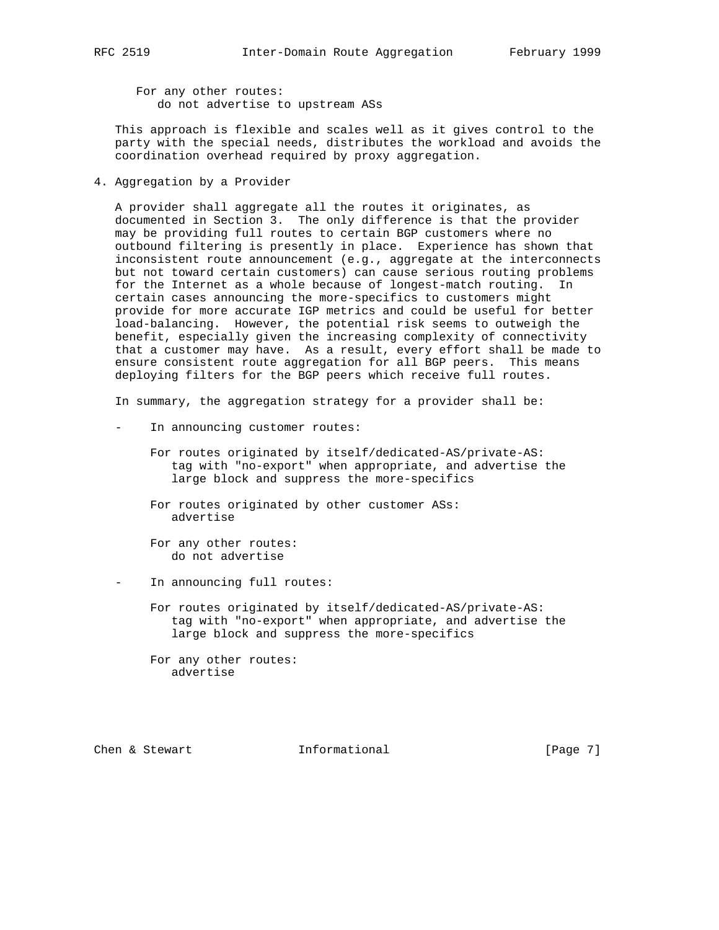For any other routes: do not advertise to upstream ASs

 This approach is flexible and scales well as it gives control to the party with the special needs, distributes the workload and avoids the coordination overhead required by proxy aggregation.

4. Aggregation by a Provider

 A provider shall aggregate all the routes it originates, as documented in Section 3. The only difference is that the provider may be providing full routes to certain BGP customers where no outbound filtering is presently in place. Experience has shown that inconsistent route announcement (e.g., aggregate at the interconnects but not toward certain customers) can cause serious routing problems for the Internet as a whole because of longest-match routing. certain cases announcing the more-specifics to customers might provide for more accurate IGP metrics and could be useful for better load-balancing. However, the potential risk seems to outweigh the benefit, especially given the increasing complexity of connectivity that a customer may have. As a result, every effort shall be made to ensure consistent route aggregation for all BGP peers. This means deploying filters for the BGP peers which receive full routes.

In summary, the aggregation strategy for a provider shall be:

- In announcing customer routes:
	- For routes originated by itself/dedicated-AS/private-AS: tag with "no-export" when appropriate, and advertise the large block and suppress the more-specifics

 For routes originated by other customer ASs: advertise

 For any other routes: do not advertise

In announcing full routes:

 For routes originated by itself/dedicated-AS/private-AS: tag with "no-export" when appropriate, and advertise the large block and suppress the more-specifics

 For any other routes: advertise

Chen & Stewart **Informational** [Page 7]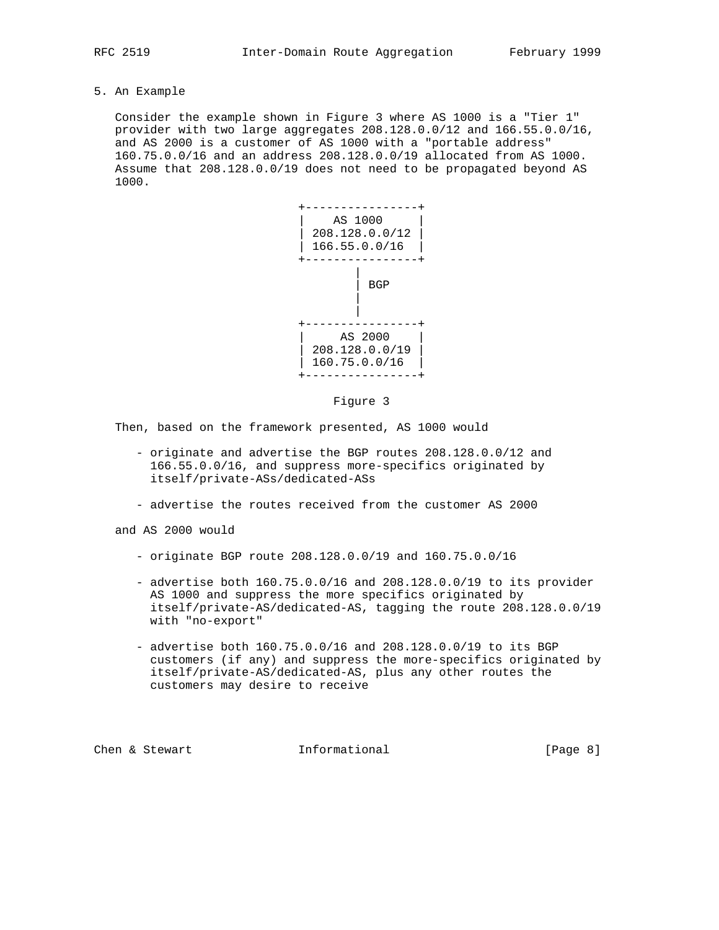5. An Example

 Consider the example shown in Figure 3 where AS 1000 is a "Tier 1" provider with two large aggregates 208.128.0.0/12 and 166.55.0.0/16, and AS 2000 is a customer of AS 1000 with a "portable address" 160.75.0.0/16 and an address 208.128.0.0/19 allocated from AS 1000. Assume that 208.128.0.0/19 does not need to be propagated beyond AS 1000.



#### Figure 3

Then, based on the framework presented, AS 1000 would

- originate and advertise the BGP routes 208.128.0.0/12 and 166.55.0.0/16, and suppress more-specifics originated by itself/private-ASs/dedicated-ASs
- advertise the routes received from the customer AS 2000

and AS 2000 would

- originate BGP route 208.128.0.0/19 and 160.75.0.0/16
- advertise both 160.75.0.0/16 and 208.128.0.0/19 to its provider AS 1000 and suppress the more specifics originated by itself/private-AS/dedicated-AS, tagging the route 208.128.0.0/19 with "no-export"
- advertise both 160.75.0.0/16 and 208.128.0.0/19 to its BGP customers (if any) and suppress the more-specifics originated by itself/private-AS/dedicated-AS, plus any other routes the customers may desire to receive

Chen & Stewart **Informational** [Page 8]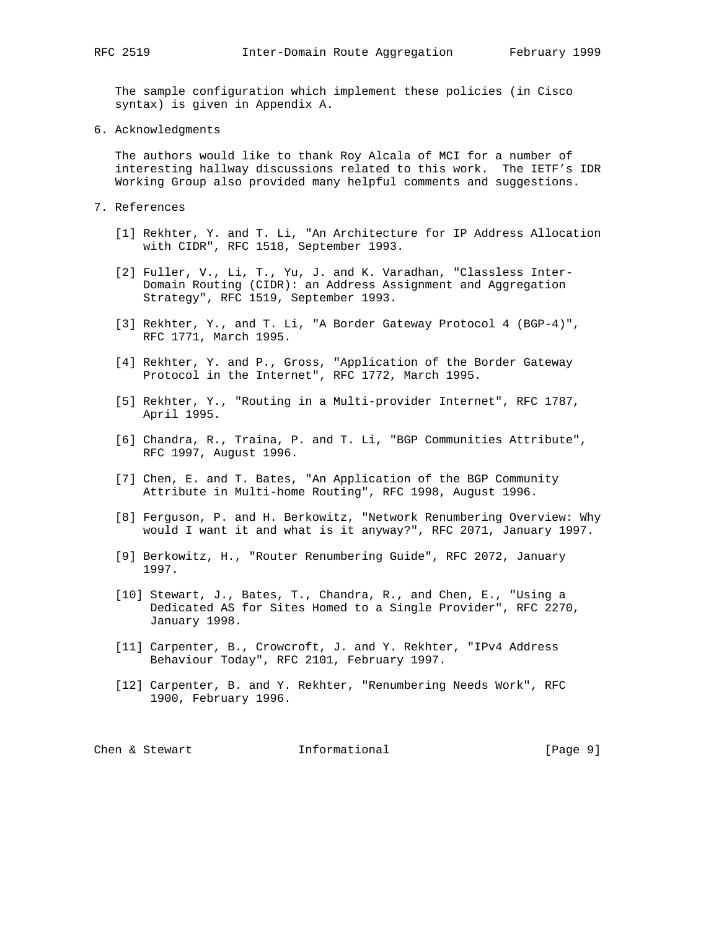The sample configuration which implement these policies (in Cisco syntax) is given in Appendix A.

6. Acknowledgments

 The authors would like to thank Roy Alcala of MCI for a number of interesting hallway discussions related to this work. The IETF's IDR Working Group also provided many helpful comments and suggestions.

- 7. References
	- [1] Rekhter, Y. and T. Li, "An Architecture for IP Address Allocation with CIDR", RFC 1518, September 1993.
	- [2] Fuller, V., Li, T., Yu, J. and K. Varadhan, "Classless Inter- Domain Routing (CIDR): an Address Assignment and Aggregation Strategy", RFC 1519, September 1993.
	- [3] Rekhter, Y., and T. Li, "A Border Gateway Protocol 4 (BGP-4)", RFC 1771, March 1995.
	- [4] Rekhter, Y. and P., Gross, "Application of the Border Gateway Protocol in the Internet", RFC 1772, March 1995.
	- [5] Rekhter, Y., "Routing in a Multi-provider Internet", RFC 1787, April 1995.
	- [6] Chandra, R., Traina, P. and T. Li, "BGP Communities Attribute", RFC 1997, August 1996.
	- [7] Chen, E. and T. Bates, "An Application of the BGP Community Attribute in Multi-home Routing", RFC 1998, August 1996.
	- [8] Ferguson, P. and H. Berkowitz, "Network Renumbering Overview: Why would I want it and what is it anyway?", RFC 2071, January 1997.
	- [9] Berkowitz, H., "Router Renumbering Guide", RFC 2072, January 1997.
	- [10] Stewart, J., Bates, T., Chandra, R., and Chen, E., "Using a Dedicated AS for Sites Homed to a Single Provider", RFC 2270, January 1998.
	- [11] Carpenter, B., Crowcroft, J. and Y. Rekhter, "IPv4 Address Behaviour Today", RFC 2101, February 1997.
	- [12] Carpenter, B. and Y. Rekhter, "Renumbering Needs Work", RFC 1900, February 1996.

|  | Chen & Stewart | Informational | [Page 9] |
|--|----------------|---------------|----------|
|  |                |               |          |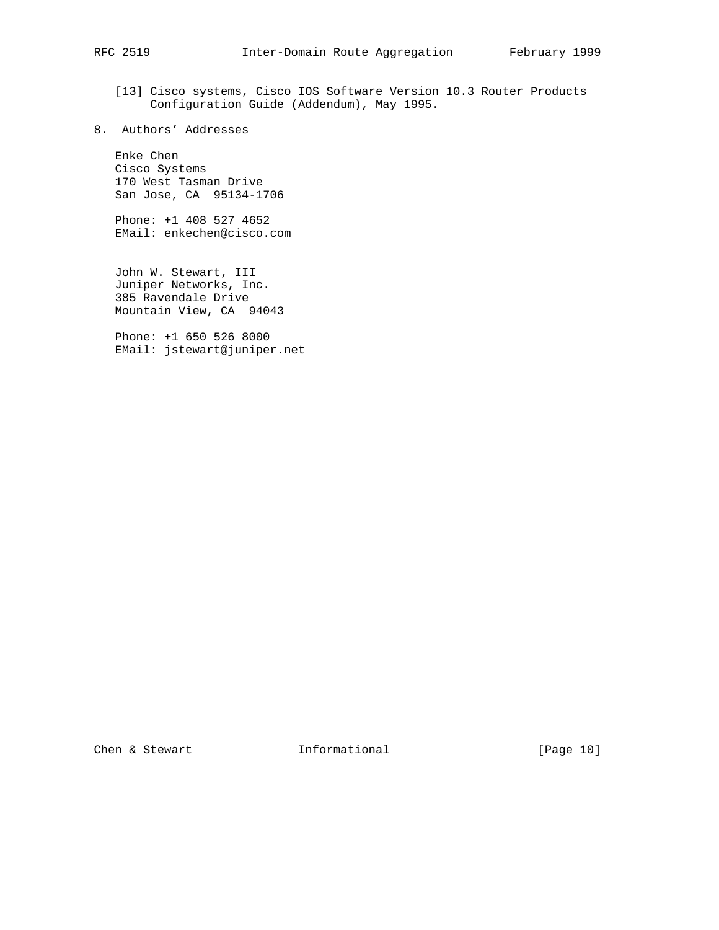- [13] Cisco systems, Cisco IOS Software Version 10.3 Router Products Configuration Guide (Addendum), May 1995.
- 8. Authors' Addresses

 Enke Chen Cisco Systems 170 West Tasman Drive San Jose, CA 95134-1706

 Phone: +1 408 527 4652 EMail: enkechen@cisco.com

 John W. Stewart, III Juniper Networks, Inc. 385 Ravendale Drive Mountain View, CA 94043

 Phone: +1 650 526 8000 EMail: jstewart@juniper.net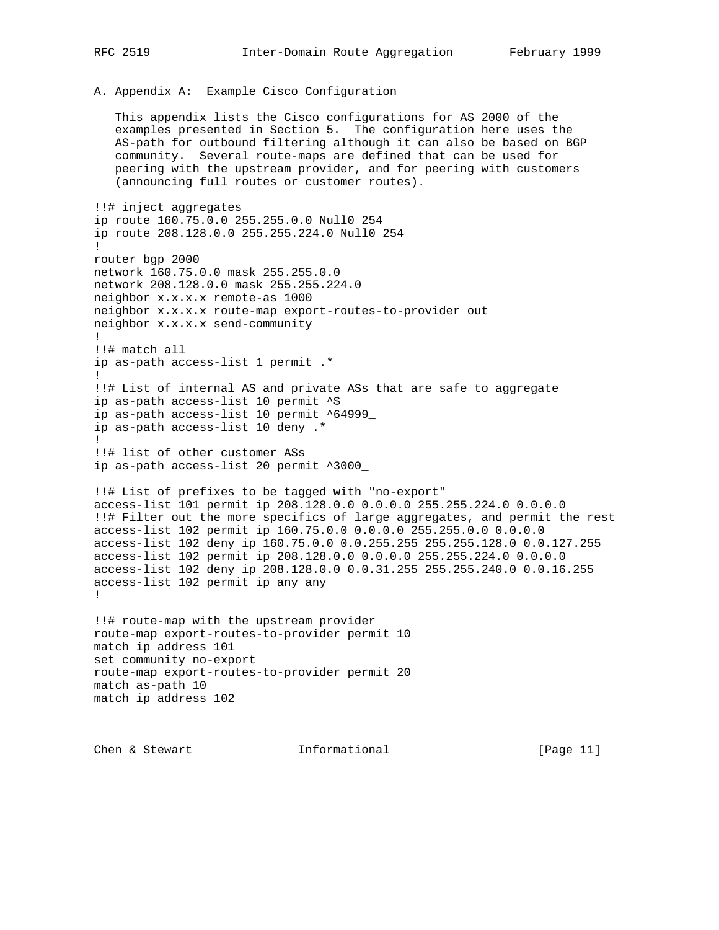A. Appendix A: Example Cisco Configuration

 This appendix lists the Cisco configurations for AS 2000 of the examples presented in Section 5. The configuration here uses the AS-path for outbound filtering although it can also be based on BGP community. Several route-maps are defined that can be used for peering with the upstream provider, and for peering with customers (announcing full routes or customer routes).

!!# inject aggregates ip route 160.75.0.0 255.255.0.0 Null0 254 ip route 208.128.0.0 255.255.224.0 Null0 254 ! router bgp 2000 network 160.75.0.0 mask 255.255.0.0 network 208.128.0.0 mask 255.255.224.0 neighbor x.x.x.x remote-as 1000 neighbor x.x.x.x route-map export-routes-to-provider out neighbor x.x.x.x send-community ! !!# match all ip as-path access-list 1 permit .\* ! !!# List of internal AS and private ASs that are safe to aggregate ip as-path access-list 10 permit ^\$ ip as-path access-list 10 permit ^64999\_ ip as-path access-list 10 deny .\* ! !!# list of other customer ASs ip as-path access-list 20 permit ^3000\_ !!# List of prefixes to be tagged with "no-export" access-list 101 permit ip 208.128.0.0 0.0.0.0 255.255.224.0 0.0.0.0 !!# Filter out the more specifics of large aggregates, and permit the rest access-list 102 permit ip 160.75.0.0 0.0.0.0 255.255.0.0 0.0.0.0 access-list 102 deny ip 160.75.0.0 0.0.255.255 255.255.128.0 0.0.127.255 access-list 102 permit ip 208.128.0.0 0.0.0.0 255.255.224.0 0.0.0.0 access-list 102 deny ip 208.128.0.0 0.0.31.255 255.255.240.0 0.0.16.255 access-list 102 permit ip any any ! !!# route-map with the upstream provider route-map export-routes-to-provider permit 10 match ip address 101 set community no-export route-map export-routes-to-provider permit 20 match as-path 10 match ip address 102

Chen & Stewart **Informational** [Page 11]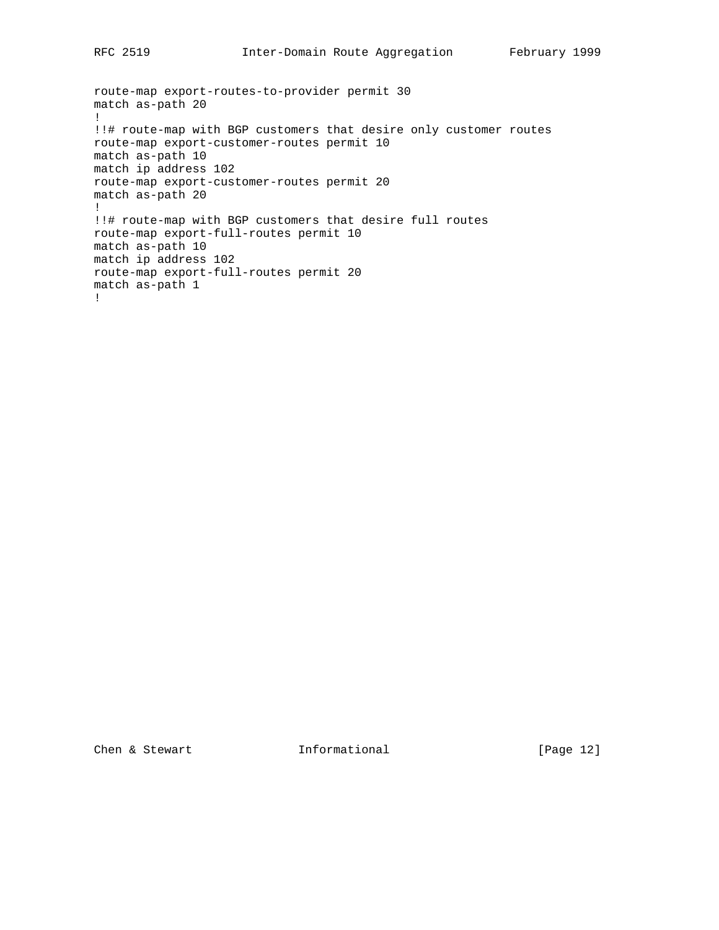```
route-map export-routes-to-provider permit 30
match as-path 20
!
!!# route-map with BGP customers that desire only customer routes
route-map export-customer-routes permit 10
match as-path 10
match ip address 102
route-map export-customer-routes permit 20
match as-path 20
!
!!# route-map with BGP customers that desire full routes
route-map export-full-routes permit 10
match as-path 10
match ip address 102
route-map export-full-routes permit 20
match as-path 1
!
```